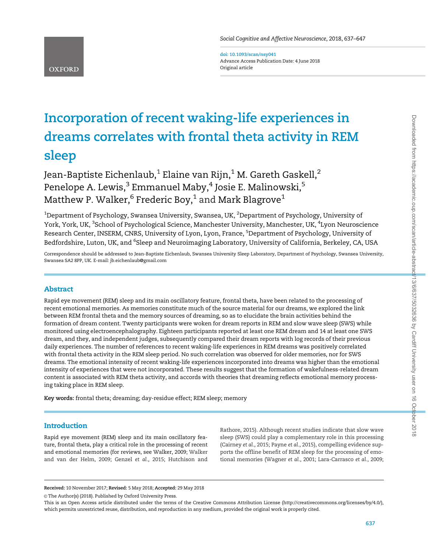doi: 10.1093/scan/nsy041 Advance Access Publication Date: 4 June 2018 Original article

# Incorporation of recent waking-life experiences in dreams correlates with frontal theta activity in REM sleep

Jean-Baptiste Eichenlaub, $1$  Elaine van Rijn, $1$  M. Gareth Gaskell, $2$ Penelope A. Lewis,<sup>3</sup> Emmanuel Maby,<sup>4</sup> Josie E. Malinowski,<sup>5</sup> Matthew P. Walker,<sup>6</sup> Frederic Boy,<sup>1</sup> and Mark Blagrove<sup>1</sup>

 $^{\rm 1}$ Department of Psychology, Swansea University, Swansea, UK,  $^{\rm 2}$ Department of Psychology, University of York, York, UK, <sup>3</sup>School of Psychological Science, Manchester University, Manchester, UK, <sup>4</sup>Lyon Neuroscience Research Center, INSERM, CNRS, University of Lyon, Lyon, France, <sup>5</sup>Department of Psychology, University of Bedfordshire, Luton, UK, and <sup>6</sup>Sleep and Neuroimaging Laboratory, University of California, Berkeley, CA, USA

Correspondence should be addressed to Jean-Baptiste Eichenlaub, Swansea University Sleep Laboratory, Department of Psychology, Swansea University, Swansea SA2 8PP, UK. E-mail: jb.eichenlaub@gmail.com

# Abstract

**OXFORD** 

Rapid eye movement (REM) sleep and its main oscillatory feature, frontal theta, have been related to the processing of recent emotional memories. As memories constitute much of the source material for our dreams, we explored the link between REM frontal theta and the memory sources of dreaming, so as to elucidate the brain activities behind the formation of dream content. Twenty participants were woken for dream reports in REM and slow wave sleep (SWS) while monitored using electroencephalography. Eighteen participants reported at least one REM dream and 14 at least one SWS dream, and they, and independent judges, subsequently compared their dream reports with log records of their previous daily experiences. The number of references to recent waking-life experiences in REM dreams was positively correlated with frontal theta activity in the REM sleep period. No such correlation was observed for older memories, nor for SWS dreams. The emotional intensity of recent waking-life experiences incorporated into dreams was higher than the emotional intensity of experiences that were not incorporated. These results suggest that the formation of wakefulness-related dream content is associated with REM theta activity, and accords with theories that dreaming reflects emotional memory processing taking place in REM sleep.

Key words: frontal theta; dreaming; day-residue effect; REM sleep; memory

# Introduction

Rapid eye movement (REM) sleep and its main oscillatory feature, frontal theta, play a critical role in the processing of recent and emotional memories (for reviews, see [Walker, 2009; Walker](#page-10-0) [and van der Helm, 2009;](#page-10-0) [Genzel](#page-9-0) et al., 2015; [Hutchison and](#page-9-0) [Rathore, 2015\)](#page-9-0). Although recent studies indicate that slow wave sleep (SWS) could play a complementary role in this processing [\(Cairney](#page-9-0) et al., 2015; [Payne](#page-10-0) et al., 2015), compelling evidence supports the offline benefit of REM sleep for the processing of emotional memories [\(Wagner](#page-10-0) et al., 2001; [Lara-Carrasco](#page-9-0) et al., 2009;

Received: 10 November 2017; Revised: 5 May 2018; Accepted: 29 May 2018

© The Author(s) (2018). Published by Oxford University Press.

This is an Open Access article distributed under the terms of the Creative Commons Attribution License (http://creativecommons.org/licenses/by/4.0/), which permits unrestricted reuse, distribution, and reproduction in any medium, provided the original work is properly cited.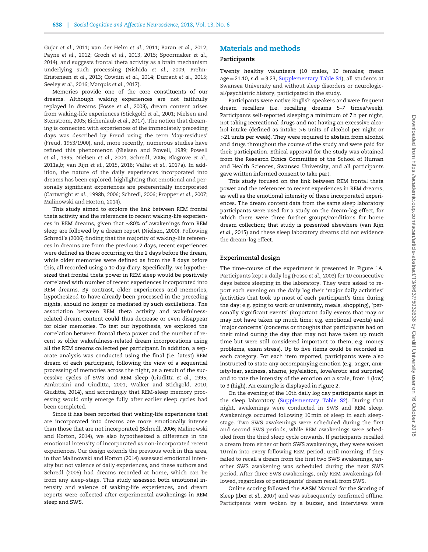Gujar et al.[, 2011;](#page-9-0) [van der Helm](#page-10-0) et al., 2011; Baran et al.[, 2012](#page-9-0); Payne et al.[, 2012](#page-10-0); Groch et al.[, 2013, 2015](#page-9-0); [Spoormaker](#page-10-0) et al., [2014\)](#page-10-0), and suggests frontal theta activity as a brain mechanism underlying such processing [\(Nishida](#page-10-0) et al., 2009; [Prehn-](#page-10-0)[Kristensen](#page-10-0) et al., 2013; [Cowdin](#page-9-0) et al., 2014; [Durrant](#page-9-0) et al., 2015; [Seeley](#page-10-0) et al., 2016; [Marquis](#page-9-0) et al., 2017).

Memories provide one of the core constituents of our dreams. Although waking experiences are not faithfully replayed in dreams (Fosse et al.[, 2003\)](#page-9-0), dream content arises from waking-life experiences [\(Stickgold](#page-10-0) et al., 2001; [Nielsen and](#page-10-0) [Stenstrom, 2005;](#page-10-0) [Eichenlaub](#page-9-0) et al., 2017). The notion that dreaming is connected with experiences of the immediately preceding days was described by Freud using the term 'day-residues' [\(Freud, 1953/](#page-9-0)1900), and, more recently, numerous studies have refined this phenomenon ([Nielsen and Powell, 1989; Powell](#page-10-0) et al.[, 1995](#page-10-0); [Nielsen](#page-10-0) et al., 2004; [Schredl, 2006](#page-10-0); [Blagrove](#page-9-0) et al., [2011a,b](#page-9-0); [van Rijn](#page-10-0) et al., 2015, [2018; Vallat](#page-10-0) et al., 2017a). In addition, the nature of the daily experiences incorporated into dreams has been explored, highlighting that emotional and personally significant experiences are preferentially incorporated [\(Cartwright](#page-9-0) et al., 1998b, [2006;](#page-9-0) [Schredl, 2006; Propper](#page-10-0) et al., 2007; [Malinowski and Horton, 2014](#page-9-0)).

This study aimed to explore the link between REM frontal theta activity and the references to recent waking-life experiences in REM dreams, given that  ${\sim}80\%$  of awakenings from REM sleep are followed by a dream report [\(Nielsen, 2000](#page-10-0)). Following [Schredl's \(2006\)](#page-10-0) finding that the majority of waking-life references in dreams are from the previous 2 days, recent experiences were defined as those occurring on the 2 days before the dream, while older memories were defined as from the 8 days before this, all recorded using a 10 day diary. Specifically, we hypothesized that frontal theta power in REM sleep would be positively correlated with number of recent experiences incorporated into REM dreams. By contrast, older experiences and memories, hypothesized to have already been processed in the preceding nights, should no longer be mediated by such oscillations. The association between REM theta activity and wakefulnessrelated dream content could thus decrease or even disappear for older memories. To test our hypothesis, we explored the correlation between frontal theta power and the number of recent vs older wakefulness-related dream incorporations using all the REM dreams collected per participant. In addition, a separate analysis was conducted using the final (i.e. latest) REM dream of each participant, following the view of a sequential processing of memories across the night, as a result of the successive cycles of SWS and REM sleep ([Giuditta](#page-9-0) et al., 1995; [Ambrosini and Giuditta, 2001;](#page-9-0) [Walker and Stickgold, 2010](#page-10-0); [Giuditta, 2014\)](#page-9-0), and accordingly that REM-sleep memory processing would only emerge fully after earlier sleep cycles had been completed.

Since it has been reported that waking-life experiences that are incorporated into dreams are more emotionally intense than those that are not incorporated [\(Schredl, 2006;](#page-10-0) [Malinowski](#page-9-0) [and Horton, 2014](#page-9-0)), we also hypothesized a difference in the emotional intensity of incorporated vs non-incorporated recent experiences. Our design extends the previous work in this area, in that [Malinowski and Horton \(2014\)](#page-9-0) assessed emotional intensity but not valence of daily experiences, and these authors and [Schredl \(2006\)](#page-10-0) had dreams recorded at home, which can be from any sleep-stage. This study assessed both emotional intensity and valence of waking-life experiences, and dream reports were collected after experimental awakenings in REM sleep and SWS.

# Materials and methods

### Participants

Twenty healthy volunteers (10 males, 10 females; mean  $age = 21.10$ , s.d.  $= 3.23$ , [Supplementary Table S1](https://academic.oup.com/scan/article-lookup/doi/10.1093/scan/nsy041#supplementary-data)), all students at Swansea University and without sleep disorders or neurological/psychiatric history, participated in the study.

Participants were native English speakers and were frequent dream recallers (i.e. recalling dreams 5–7 times/week). Participants self-reported sleeping a minimum of 7 h per night, not taking recreational drugs and not having an excessive alcohol intake (defined as intake >6 units of alcohol per night or >21 units per week). They were required to abstain from alcohol and drugs throughout the course of the study and were paid for their participation. Ethical approval for the study was obtained from the Research Ethics Committee of the School of Human and Health Sciences, Swansea University, and all participants gave written informed consent to take part.

This study focused on the link between REM frontal theta power and the references to recent experiences in REM dreams, as well as the emotional intensity of these incorporated experiences. The dream content data from the same sleep laboratory participants were used for a study on the dream-lag effect, for which there were three further groups/conditions for home dream collection; that study is presented elsewhere ([van Rijn](#page-10-0) et al.[, 2015\)](#page-10-0) and these sleep laboratory dreams did not evidence the dream-lag effect.

### Experimental design

The time-course of the experiment is presented in [Figure 1A](#page-2-0). Participants kept a daily log (Fosse et al.[, 2003\)](#page-9-0) for 10 consecutive days before sleeping in the laboratory. They were asked to report each evening on the daily log their 'major daily activities' (activities that took up most of each participant's time during the day; e.g. going to work or university, meals, shopping), 'personally significant events' (important daily events that may or may not have taken up much time; e.g. emotional events) and 'major concerns' (concerns or thoughts that participants had on their mind during the day that may not have taken up much time but were still considered important to them; e.g. money problems, exam stress). Up to five items could be recorded in each category. For each item reported, participants were also instructed to state any accompanying emotion (e.g. anger, anxiety/fear, sadness, shame, joy/elation, love/erotic and surprise) and to rate the intensity of the emotion on a scale, from 1 (low) to 3 (high). An example is displayed in [Figure 2](#page-3-0).

On the evening of the 10th daily log day participants slept in the sleep laboratory ([Supplementary Table S2](https://academic.oup.com/scan/article-lookup/doi/10.1093/scan/nsy041#supplementary-data)). During that night, awakenings were conducted in SWS and REM sleep. Awakenings occurred following 10 min of sleep in each sleepstage. Two SWS awakenings were scheduled during the first and second SWS periods, while REM awakenings were scheduled from the third sleep cycle onwards. If participants recalled a dream from either or both SWS awakenings, they were woken 10 min into every following REM period, until morning. If they failed to recall a dream from the first two SWS awakenings, another SWS awakening was scheduled during the next SWS period. After three SWS awakenings, only REM awakenings followed, regardless of participants' dream recall from SWS.

Online scoring followed the AASM Manual for the Scoring of Sleep (Iber et al.[, 2007\)](#page-9-0) and was subsequently confirmed offline. Participants were woken by a buzzer, and interviews were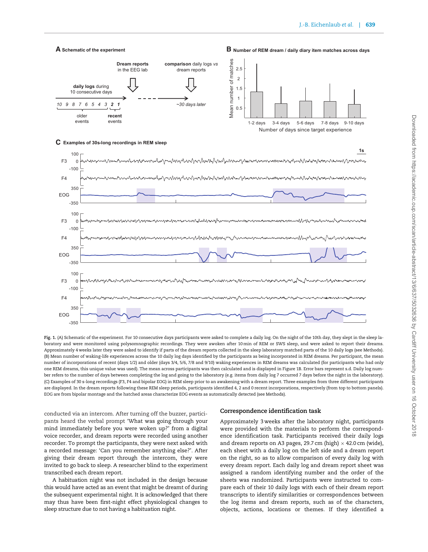#### <span id="page-2-0"></span>**Schematic of the experiment**

**A Number of REM dream / daily diary item matches across days B**



## **Examples of 30s-long recordings in REM sleep C**



Fig. 1. (A) Schematic of the experiment. For 10 consecutive days participants were asked to complete a daily log. On the night of the 10th day, they slept in the sleep laboratory and were monitored using polysomnographic recordings. They were awoken after 10 min of REM or SWS sleep, and were asked to report their dreams. Approximately 4 weeks later they were asked to identify if parts of the dream reports collected in the sleep laboratory matched parts of the 10 daily logs (see Methods). (B) Mean number of waking-life experiences across the 10 daily log days identified by the participants as being incorporated in REM dreams. Per participant, the mean number of incorporations of recent (days 1/2) and older (days 3/4, 5/6, 7/8 and 9/10) waking experiences in REM dreams was calculated (for participants who had only one REM dreams, this unique value was used). The mean across participants was then calculated and is displayed in Figure 1B. Error bars represent s.d. Daily log number refers to the number of days between completing the log and going to the laboratory (e.g. items from daily log 7 occurred 7 days before the night in the laboratory). (C) Examples of 30 s-long recordings (F3, F4 and bipolar EOG) in REM sleep prior to an awakening with a dream report. Three examples from three different participants are displayed. In the dream reports following these REM sleep periods, participants identified 4, 2 and 0 recent incorporations, respectively (from top to bottom panels). EOG are from bipolar montage and the hatched areas characterize EOG events as automatically detected (see Methods).

conducted via an intercom. After turning off the buzzer, participants heard the verbal prompt 'What was going through your mind immediately before you were woken up?' from a digital voice recorder, and dream reports were recorded using another recorder. To prompt the participants, they were next asked with a recorded message: 'Can you remember anything else?'. After giving their dream report through the intercom, they were invited to go back to sleep. A researcher blind to the experiment transcribed each dream report.

A habituation night was not included in the design because this would have acted as an event that might be dreamt of during the subsequent experimental night. It is acknowledged that there may thus have been first-night effect physiological changes to sleep structure due to not having a habituation night.

## Correspondence identification task

Approximately 3 weeks after the laboratory night, participants were provided with the materials to perform the correspondence identification task. Participants received their daily logs and dream reports on A3 pages, 29.7 cm (high)  $\times$  42.0 cm (wide), each sheet with a daily log on the left side and a dream report on the right, so as to allow comparison of every daily log with every dream report. Each daily log and dream report sheet was assigned a random identifying number and the order of the sheets was randomized. Participants were instructed to compare each of their 10 daily logs with each of their dream report transcripts to identify similarities or correspondences between the log items and dream reports, such as of the characters, objects, actions, locations or themes. If they identified a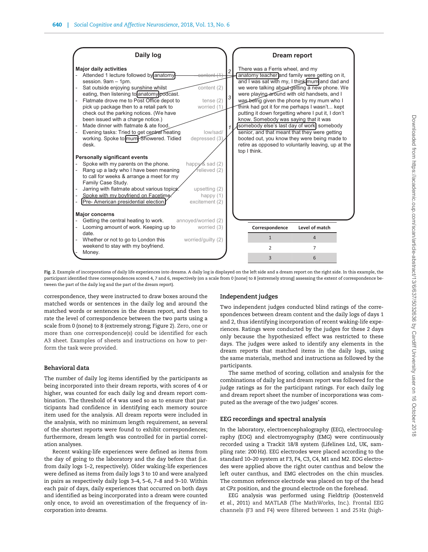<span id="page-3-0"></span>

Fig. 2. Example of incorporations of daily life experiences into dreams. A daily log is displayed on the left side and a dream report on the right side. In this example, the participant identified three correspondences scored 4, 7 and 6, respectively (on a scale from 0 [none] to 8 [extremely strong] assessing the extent of correspondence between the part of the daily log and the part of the dream report).

correspondence, they were instructed to draw boxes around the matched words or sentences in the daily log and around the matched words or sentences in the dream report, and then to rate the level of correspondence between the two parts using a scale from 0 (none) to 8 (extremely strong; Figure 2). Zero, one or more than one correspondence(s) could be identified for each A3 sheet. Examples of sheets and instructions on how to perform the task were provided.

### Behavioral data

The number of daily log items identified by the participants as being incorporated into their dream reports, with scores of 4 or higher, was counted for each daily log and dream report combination. The threshold of 4 was used so as to ensure that participants had confidence in identifying each memory source item used for the analysis. All dream reports were included in the analysis, with no minimum length requirement, as several of the shortest reports were found to exhibit correspondences; furthermore, dream length was controlled for in partial correlation analyses.

Recent waking-life experiences were defined as items from the day of going to the laboratory and the day before that (i.e. from daily logs 1–2, respectively). Older waking-life experiences were defined as items from daily logs 3 to 10 and were analyzed in pairs as respectively daily logs 3–4, 5–6, 7–8 and 9–10. Within each pair of days, daily experiences that occurred on both days and identified as being incorporated into a dream were counted only once, to avoid an overestimation of the frequency of incorporation into dreams.

# Independent judges

Two independent judges conducted blind ratings of the correspondences between dream content and the daily logs of days 1 and 2, thus identifying incorporation of recent waking-life experiences. Ratings were conducted by the judges for these 2 days only because the hypothesized effect was restricted to these days. The judges were asked to identify any elements in the dream reports that matched items in the daily logs, using the same materials, method and instructions as followed by the participants.

The same method of scoring, collation and analysis for the combinations of daily log and dream report was followed for the judge ratings as for the participant ratings. For each daily log and dream report sheet the number of incorporations was computed as the average of the two judges' scores.

#### EEG recordings and spectral analysis

In the laboratory, electroencephalography (EEG), electrooculography (EOG) and electromyography (EMG) were continuously recorded using a Trackit 18/8 system (Lifelines Ltd, UK, sampling rate: 200 Hz). EEG electrodes were placed according to the standard 10–20 system at F3, F4, C3, C4, M1 and M2. EOG electrodes were applied above the right outer canthus and below the left outer canthus, and EMG electrodes on the chin muscles. The common reference electrode was placed on top of the head at CPz position, and the ground electrode on the forehead.

EEG analysis was performed using Fieldtrip ([Oostenveld](#page-10-0) et al.[, 2011](#page-10-0)) and MATLAB (The MathWorks, Inc.). Frontal EEG channels (F3 and F4) were filtered between 1 and 25 Hz (high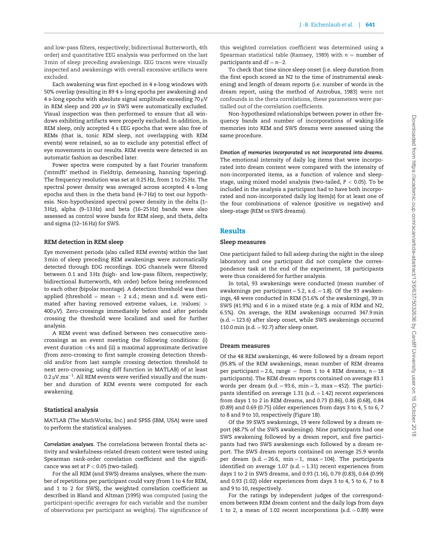and low-pass filters, respectively; bidirectional Butterworth, 4th order) and quantitative EEG analysis was performed on the last 3 min of sleep preceding awakenings. EEG traces were visually inspected and awakenings with overall excessive artifacts were excluded.

Each awakening was first epoched in 4 s-long windows with 50% overlap (resulting in 89 4 s-long epochs per awakening) and  $4$  s-long epochs with absolute signal amplitude exceeding 70  $\mu$ V in REM sleep and 200  $\mu$ v in SWS were automatically excluded. Visual inspection was then performed to ensure that all windows exhibiting artifacts were properly excluded. In addition, in REM sleep, only accepted 4 s EEG epochs that were also free of REMs (that is, tonic REM sleep, not overlapping with REM events) were retained, so as to exclude any potential effect of eye movements in our results. REM events were detected in an automatic fashion as described later.

Power spectra were computed by a fast Fourier transform ('mtmfft' method in Fieldtrip, demeaning, hanning tapering). The frequency resolution was set at 0.25 Hz, from 1 to 25 Hz. The spectral power density was averaged across accepted 4 s-long epochs and then in the theta band (4–7 Hz) to test our hypothesis. Non-hypothesized spectral power density in the delta (1– 3 Hz), alpha (9–13 Hz) and beta (16–25 Hz) bands were also assessed as control wave bands for REM sleep, and theta, delta and sigma (12–16 Hz) for SWS.

### REM detection in REM sleep

Eye movement periods (also called REM events) within the last 3 min of sleep preceding REM awakenings were automatically detected through EOG recordings. EOG channels were filtered between 0.1 and 3 Hz (high- and low-pass filters, respectively; bidirectional Butterworth, 4th order) before being rereferenced to each other (bipolar montage). A detection threshold was then applied (threshold  $=$  mean  $+$  2 s.d.; mean and s.d. were estimated after having removed extreme values, i.e.  $|values| >$  $400 \mu$ V). Zero-crossings immediately before and after periods crossing the threshold were localized and used for further analysis.

A REM event was defined between two consecutive zerocrossings as an event meeting the following conditions: (i) event duration <4 s and (ii) a maximal approximate derivative (from zero-crossing to first sample crossing detection threshold and/or from last sample crossing detection threshold to next zero-crossing; using diff function in MATLAB) of at least 0.2  $\rm \mu V.ms^{-1}.$  All REM events were verified visually and the number and duration of REM events were computed for each awakening.

# Statistical analysis

MATLAB (The MathWorks, Inc.) and SPSS (IBM, USA) were used to perform the statistical analyses.

Correlation analyses. The correlations between frontal theta activity and wakefulness-related dream content were tested using Spearman rank-order correlation coefficient and the significance was set at  $P < 0.05$  (two-tailed).

For the all REM (and SWS) dreams analyses, where the number of repetitions per participant could vary (from 1 to 4 for REM, and 1 to 2 for SWS), the weighted correlation coefficient as described in [Bland and Altman \(1995\)](#page-9-0) was computed (using the participant-specific averages for each variable and the number of observations per participant as weights). The significance of this weighted correlation coefficient was determined using a Spearman statistical table ([Ramsey, 1989](#page-10-0)) with  $n =$  number of participants and  $df = n-2$ .

To check that time since sleep onset (i.e. sleep duration from the first epoch scored as N2 to the time of instrumental awakening) and length of dream reports (i.e. number of words in the dream report, using the method of [Antrobus, 1983](#page-9-0)) were not confounds in the theta correlations, these parameters were partialled out of the correlation coefficients.

Non-hypothesized relationships between power in other frequency bands and number of incorporations of waking-life memories into REM and SWS dreams were assessed using the same procedure.

Emotion of memories incorporated vs not incorporated into dreams. The emotional intensity of daily log items that were incorporated into dream content were compared with the intensity of non-incorporated items, as a function of valence and sleepstage, using mixed model analysis (two-tailed,  $P < 0.05$ ). To be included in the analysis a participant had to have both incorporated and non-incorporated daily log item(s) for at least one of the four combinations of valence (positive vs negative) and sleep-stage (REM vs SWS dreams).

# Results

#### Sleep measures

One participant failed to fall asleep during the night in the sleep laboratory and one participant did not complete the correspondence task at the end of the experiment, 18 participants were thus considered for further analysis.

In total, 93 awakenings were conducted (mean number of awakenings per participant  $= 5.2$ , s.d.  $= 1.8$ ). Of the 93 awakenings, 48 were conducted in REM (51.6% of the awakenings), 39 in SWS (41.9%) and 6 in a mixed state (e.g. a mix of REM and N2, 6.5%). On average, the REM awakenings occurred 347.9 min  $(s.d. = 123.6)$  after sleep onset, while SWS awakenings occurred 110.0 min (s.d.  $= 92.7$ ) after sleep onset.

#### Dream measures

Of the 48 REM awakenings, 46 were followed by a dream report (95.8% of the REM awakenings, mean number of REM dreams per participant = 2.6, range = from 1 to 4 REM dreams;  $n = 18$ participants). The REM dream reports contained on average 83.1 words per dream (s.d.  $= 93.6$ , min  $= 3$ , max  $= 452$ ). The participants identified on average  $1.31$  (s.d.  $= 1.42$ ) recent experiences from days 1 to 2 in REM dreams, and 0.73 (0.86), 0.86 (0.68), 0.84 (0.89) and 0.69 (0.75) older experiences from days 3 to 4, 5 to 6, 7 to 8 and 9 to 10, respectively ([Figure 1B](#page-2-0)).

Of the 39 SWS awakenings, 19 were followed by a dream report (48.7% of the SWS awakenings). Nine participants had one SWS awakening followed by a dream report, and five participants had two SWS awakenings each followed by a dream report. The SWS dream reports contained on average 25.9 words per dream (s.d.  $= 26.6$ , min  $= 1$ , max  $= 104$ ). The participants identified on average 1.07 (s.d.  $=$  1.31) recent experiences from days 1 to 2 in SWS dreams, and 0.93 (1.16), 0.79 (0.83), 0.64 (0.99) and 0.93 (1.02) older experiences from days 3 to 4, 5 to 6, 7 to 8 and 9 to 10, respectively.

For the ratings by independent judges of the correspondences between REM dream content and the daily logs from days 1 to 2, a mean of 1.02 recent incorporations (s.d.  $= 0.89$ ) were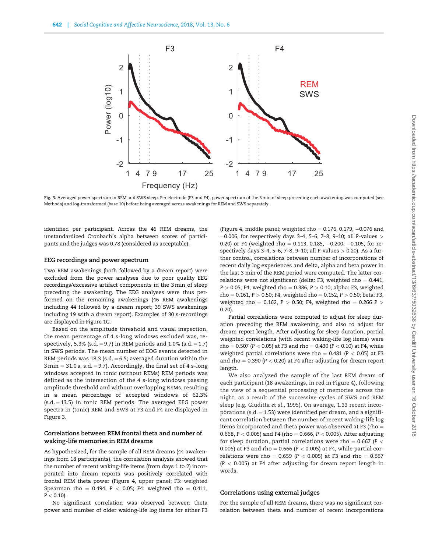

Fig. 3. Averaged power spectrum in REM and SWS sleep. Per electrode (F3 and F4), power spectrum of the 3 min of sleep preceding each awakening was computed (see Methods) and log-transformed (base 10) before being averaged across awakenings for REM and SWS separately.

identified per participant. Across the 46 REM dreams, the unstandardized Cronbach's alpha between scores of participants and the judges was 0.78 (considered as acceptable).

## EEG recordings and power spectrum

Two REM awakenings (both followed by a dream report) were excluded from the power analyses due to poor quality EEG recordings/excessive artifact components in the 3 min of sleep preceding the awakening. The EEG analyses were thus performed on the remaining awakenings (46 REM awakenings including 44 followed by a dream report; 39 SWS awakenings including 19 with a dream report). Examples of 30 s-recordings are displayed in [Figure 1C.](#page-2-0)

Based on the amplitude threshold and visual inspection, the mean percentage of 4 s-long windows excluded was, respectively, 5.3% (s.d.  $= 9.7$ ) in REM periods and 1.0% (s.d.  $= 1.7$ ) in SWS periods. The mean number of EOG events detected in REM periods was 18.3 (s.d.  $= 6.5$ ; averaged duration within the  $3 \text{min} = 31.0 \text{ s}, \text{ s.d.} = 9.7$ ). Accordingly, the final set of 4 s-long windows accepted in tonic (without REMs) REM periods was defined as the intersection of the 4 s-long windows passing amplitude threshold and without overlapping REMs, resulting in a mean percentage of accepted windows of 62.3%  $(s.d. = 13.5)$  in tonic REM periods. The averaged EEG power spectra in (tonic) REM and SWS at F3 and F4 are displayed in Figure 3.

## Correlations between REM frontal theta and number of waking-life memories in REM dreams

As hypothesized, for the sample of all REM dreams (44 awakenings from 18 participants), the correlation analysis showed that the number of recent waking-life items (from days 1 to 2) incorporated into dream reports was positively correlated with frontal REM theta power ([Figure 4,](#page-6-0) upper panel; F3: weighted Spearman rho = 0.494, P < 0.05; F4: weighted rho = 0.411,  $P < 0.10$ ).

No significant correlation was observed between theta power and number of older waking-life log items for either F3

[\(Figure 4,](#page-6-0) middle panel; weighted rho  $= 0.176, 0.179, -0.076$  and  $-0.006$ , for respectively days 3-4, 5-6, 7-8, 9-10; all P-values  $>$ 0.20) or F4 (weighted rho = 0.113, 0.185,  $-0.200$ ,  $-0.105$ , for respectively days 3–4, 5–6, 7–8, 9–10; all P-values > 0.20). As a further control, correlations between number of incorporations of recent daily log experiences and delta, alpha and beta power in the last 3 min of the REM period were computed. The latter correlations were not significant (delta: F3, weighted rho  $= 0.441$ ,  $P > 0.05$ ; F4, weighted rho = 0.386,  $P > 0.10$ ; alpha: F3, weighted  $rho = 0.161, P > 0.50; F4, weighted rho = 0.152, P > 0.50; beta: F3,$ weighted rho = 0.162, P > 0.50; F4, weighted rho = 0.266 P > 0.20).

Partial correlations were computed to adjust for sleep duration preceding the REM awakening, and also to adjust for dream report length. After adjusting for sleep duration, partial weighted correlations (with recent waking-life log items) were rho = 0.507 (P < 0.05) at F3 and rho = 0.430 (P < 0.10) at F4, while weighted partial correlations were rho =  $0.481$  (P < 0.05) at F3 and rho =  $0.390$  (P < 0.20) at F4 after adjusting for dream report length.

We also analyzed the sample of the last REM dream of each participant (18 awakenings, in red in [Figure 4\)](#page-6-0), following the view of a sequential processing of memories across the night, as a result of the successive cycles of SWS and REM sleep (e.g. [Giuditta](#page-9-0) et al., 1995). On average, 1.33 recent incorporations (s.d.  $=$  1.53) were identified per dream, and a significant correlation between the number of recent waking-life log items incorporated and theta power was observed at F3 (rho  $=$ 0.668,  $P < 0.005$ ) and F4 (rho = 0.666,  $P < 0.005$ ). After adjusting for sleep duration, partial correlations were rho = 0.667 ( $P <$ 0.005) at F3 and rho = 0.666 ( $P < 0.005$ ) at F4, while partial correlations were rho =  $0.659$  (P < 0.005) at F3 and rho = 0.667  $(P < 0.005)$  at F4 after adjusting for dream report length in words.

### Correlations using external judges

For the sample of all REM dreams, there was no significant correlation between theta and number of recent incorporations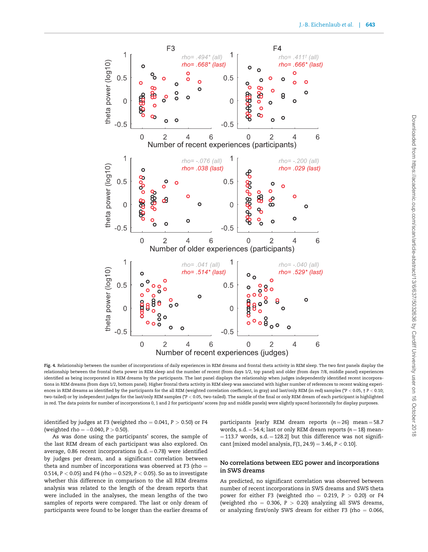<span id="page-6-0"></span>

Fig. 4. Relationship between the number of incorporations of daily experiences in REM dreams and frontal theta activity in REM sleep. The two first panels display the relationship between the frontal theta power in REM sleep and the number of recent (from days 1/2, top panel) and older (from days 7/8, middle panel) experiences identified as being incorporated in REM dreams by the participants. The last panel displays the relationship when judges independently identified recent incorporations in REM dreams (from days 1/2, bottom panel). Higher frontal theta activity in REM sleep was associated with higher number of references to recent waking experiences in REM dreams as identified by the participants for the all REM (weighted correlation coefficient, in gray) and last/only REM (in red) samples (\*P < 0.05, † P < 0.10; two-tailed) or by independent judges for the last/only REM samples (\*P < 0.05, two-tailed). The sample of the final or only REM dream of each participant is highlighted in red. The data points for number of incorporations 0, 1 and 2 for participants' scores (top and middle panels) were slightly spaced horizontally for display purposes.

identified by judges at F3 (weighted rho  $= 0.041$ ,  $P > 0.50$ ) or F4 (weighted rho  $= -0.040, P > 0.50$ ).

As was done using the participants' scores, the sample of the last REM dream of each participant was also explored. On average, 0.86 recent incorporations (s.d.  $= 0.78$ ) were identified by judges per dream, and a significant correlation between theta and number of incorporations was observed at F3 (rho  $=$ 0.514,  $P < 0.05$ ) and F4 (rho = 0.529,  $P < 0.05$ ). So as to investigate whether this difference in comparison to the all REM dreams analysis was related to the length of the dream reports that were included in the analyses, the mean lengths of the two samples of reports were compared. The last or only dream of participants were found to be longer than the earlier dreams of participants [early REM dream reports  $(n = 26)$  mean = 58.7 words, s.d.  $=$  54.4; last or only REM dream reports ( $n = 18$ ) mean- $=$  113.7 words, s.d.  $=$  128.2] but this difference was not significant [mixed model analysis,  $F(1, 24.9) = 3.46$ ,  $P < 0.10$ ].

## No correlations between EEG power and incorporations in SWS dreams

As predicted, no significant correlation was observed between number of recent incorporations in SWS dreams and SWS theta power for either F3 (weighted rho = 0.219,  $P > 0.20$ ) or F4 (weighted rho = 0.306,  $P > 0.20$ ) analyzing all SWS dreams, or analyzing first/only SWS dream for either F3 (rho  $= 0.066$ ,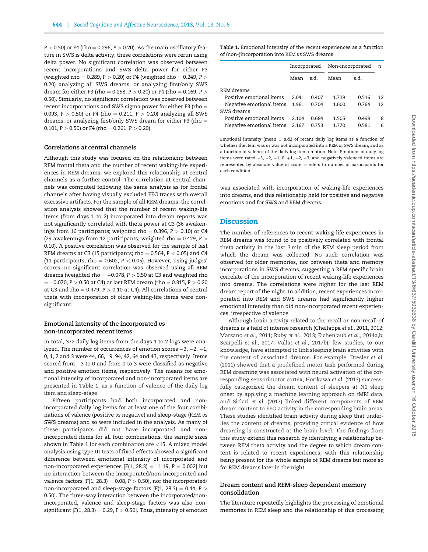$P > 0.50$ ) or F4 (rho = 0.296, P  $> 0.20$ ). As the main oscillatory feature in SWS is delta activity, these correlations were rerun using delta power. No significant correlation was observed between recent incorporations and SWS delta power for either F3 (weighted rho = 0.289, P  $>$  0.20) or F4 (weighted rho = 0.249, P  $>$ 0.20) analyzing all SWS dreams, or analyzing first/only SWS dream for either F3 (rho = 0.258, P > 0.20) or F4 (rho = 0.169, P > 0.50). Similarly, no significant correlation was observed between recent incorporations and SWS sigma power for either F3 (rho  $=$ 0.093,  $P > 0.50$ ) or F4 (rho = 0.211,  $P > 0.20$ ) analyzing all SWS dreams, or analyzing first/only SWS dream for either F3 (rho  $=$ 0.101,  $P > 0.50$  or F4 (rho = 0.261,  $P > 0.20$ ).

#### Correlations at central channels

Although this study was focused on the relationship between REM frontal theta and the number of recent waking-life experiences in REM dreams, we explored this relationship at central channels as a further control. The correlation at central channels was computed following the same analysis as for frontal channels after having visually excluded EEG traces with overall excessive artifacts. For the sample of all REM dreams, the correlation analysis showed that the number of recent waking-life items (from days 1 to 2) incorporated into dream reports was not significantly correlated with theta power at C3 (36 awakenings from 16 participants; weighted rho = 0.396,  $P > 0.10$ ) or C4 (29 awakenings from 12 participants; weighted rho  $= 0.429$ , P  $>$ 0.10). A positive correlation was observed for the sample of last REM dreams at C3 (15 participants; rho = 0.564,  $P < 0.05$ ) and C4 (11 participants; rho = 0.602,  $P < 0.05$ ). However, using judges' scores, no significant correlation was observed using all REM dreams (weighted rho  $= -0.078$ ,  $P > 0.50$  at C3 and weighted rho  $= -0.070$ , P  $> 0.50$  at C4) or last REM dream (rho  $= 0.315$ , P  $> 0.20$ at C3 and rho = 0.479,  $P > 0.10$  at C4). All correlations of central theta with incorporation of older waking-life items were nonsignificant.

## Emotional intensity of the incorporated vs non-incorporated recent items

In total, 372 daily log items from the days 1 to 2 logs were analyzed. The number of occurrences of emotion scores  $-3$ ,  $-2$ ,  $-1$ , 0, 1, 2 and 3 were 44, 66, 19, 94, 42, 64 and 43, respectively. Items scored from  $-3$  to 0 and from 0 to 3 were classified as negative and positive emotion items, respectively. The means for emotional intensity of incorporated and non-incorporated items are presented in Table 1, as a function of valence of the daily log item and sleep-stage.

Fifteen participants had both incorporated and nonincorporated daily log items for at least one of the four combinations of valence (positive vs negative) and sleep-stage (REM vs SWS dreams) and so were included in the analysis. As many of these participants did not have incorporated and nonincorporated items for all four combinations, the sample sizes shown in Table 1 for each combination are <15. A mixed model analysis using type III tests of fixed effects showed a significant difference between emotional intensity of incorporated and non-incorporated experiences  $[F(1, 28.3) = 11.19, P = 0.002]$  but no interaction between the incorporated/non-incorporated and valence factors  $[F(1, 28.3) = 0.08, P > 0.50]$ , nor the incorporated/ non-incorporated and sleep-stage factors  $[F(1, 28.3) = 0.44, P >$ 0.50]. The three-way interaction between the incorporated/nonincorporated, valence and sleep-stage factors was also nonsignificant [F(1, 28.3) = 0.29, P  $>$  0.50]. Thus, intensity of emotion

Table 1. Emotional intensity of the recent experiences as a function of (non-)incorporation into REM vs SWS dreams

|                                |       |       | Incorporated Non-incorporated |       | n  |
|--------------------------------|-------|-------|-------------------------------|-------|----|
|                                | Mean  | s.d.  | Mean                          | s.d.  |    |
| REM dreams                     |       |       |                               |       |    |
| Positive emotional items       | 2.041 | 0.407 | 1.739                         | 0.516 | 12 |
| Negative emotional items 1.961 |       | 0.704 | 1.600                         | 0.764 | 12 |
| SWS dreams                     |       |       |                               |       |    |
| Positive emotional items       | 2.104 | 0.684 | 1.505                         | 0.499 | 8  |
| Negative emotional items 2.167 |       | 0.753 | 1.770                         | 0.581 | 6  |

Emotional intensity (mean  $\pm$  s.d.) of recent daily log items as a function of whether the item was or was not incorporated into a REM or SWS dream, and as a function of valence of the daily log item emotion. Note: Emotions of daily log items were rated  $-3$ ,  $-2$ ,  $-1$ , 0,  $+1$ ,  $+2$ ,  $+3$ , and negatively valenced items are represented by absolute value of score. n refers to number of participants for each condition.

was associated with incorporation of waking-life experiences into dreams, and this relationship held for positive and negative emotions and for SWS and REM dreams.

# **Discussion**

The number of references to recent waking-life experiences in REM dreams was found to be positively correlated with frontal theta activity in the last 3 min of the REM sleep period from which the dream was collected. No such correlation was observed for older memories, nor between theta and memory incorporations in SWS dreams, suggesting a REM specific brain correlate of the incorporation of recent waking-life experiences into dreams. The correlations were higher for the last REM dream report of the night. In addition, recent experiences incorporated into REM and SWS dreams had significantly higher emotional intensity than did non-incorporated recent experiences, irrespective of valence.

Although brain activity related to the recall or non-recall of dreams is a field of intense research [\(Chellappa](#page-9-0) et al., 2011, [2012](#page-9-0); [Marzano](#page-9-0) et al., 2011; Ruby et al.[, 2013;](#page-10-0) [Eichenlaub](#page-9-0) et al., 2014a,b; [Scarpelli](#page-10-0) et al., 2017; Vallat et al.[, 2017](#page-10-0)b), few studies, to our knowledge, have attempted to link sleeping brain activities with the content of associated dreams. For example, [Dresler](#page-9-0) et al. [\(2011\)](#page-9-0) showed that a predefined motor task performed during REM dreaming was associated with neural activation of the corresponding sensorimotor cortex, [Horikawa](#page-9-0) et al. (2013) successfully categorized the dream content of sleepers at N1 sleep onset by applying a machine learning approach on fMRI data, and [Siclari](#page-10-0) et al. (2017) linked different components of REM dream content to EEG activity in the corresponding brain areas. These studies identified brain activity during sleep that underlies the content of dreams, providing critical evidence of how dreaming is constructed at the brain level. The findings from this study extend this research by identifying a relationship between REM theta activity and the degree to which dream content is related to recent experiences, with this relationship being present for the whole sample of REM dreams but more so for REM dreams later in the night.

### Dream content and REM-sleep dependent memory consolidation

The literature repeatedly highlights the processing of emotional memories in REM sleep and the relationship of this processing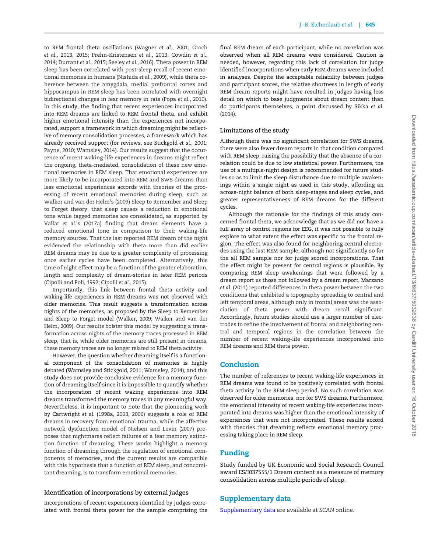to REM frontal theta oscillations [\(Wagner](#page-10-0) et al., 2001; [Groch](#page-9-0) et al.[, 2013](#page-9-0), [2015;](#page-9-0) [Prehn-Kristensen](#page-10-0) et al., 2013; [Cowdin](#page-9-0) et al., [2014; Durrant](#page-9-0) et al., 2015; [Seeley](#page-10-0) et al., 2016). Theta power in REM sleep has been correlated with post-sleep recall of recent emotional memories in humans [\(Nishida](#page-10-0) et al., 2009), while theta coherence between the amygdala, medial prefrontal cortex and hippocampus in REM sleep has been correlated with overnight bidirectional changes in fear memory in rats (Popa et al.[, 2010\)](#page-10-0). In this study, the finding that recent experiences incorporated into REM dreams are linked to REM frontal theta, and exhibit higher emotional intensity than the experiences not incorporated, support a framework in which dreaming might be reflective of memory consolidation processes, a framework which has already received support (for reviews, see [Stickgold](#page-10-0) et al., 2001; [Payne, 2010; Wamsley, 2014\)](#page-10-0). Our results suggest that the occurrence of recent waking-life experiences in dreams might reflect the ongoing, theta-mediated, consolidation of these new emotional memories in REM sleep. That emotional experiences are more likely to be incorporated into REM and SWS dreams than less emotional experiences accords with theories of the processing of recent emotional memories during sleep, such as [Walker and van der Helm's \(2009\)](#page-10-0) Sleep to Remember and Sleep to Forget theory, that sleep causes a reduction in emotional tone while tagged memories are consolidated, as supported by Vallat et al.['s \(2017a](#page-10-0)) finding that dream elements have a reduced emotional tone in comparison to their waking-life memory sources. That the last reported REM dream of the night evidenced the relationship with theta more than did earlier REM dreams may be due to a greater complexity of processing once earlier cycles have been completed. Alternatively, this time of night effect may be a function of the greater elaboration, length and complexity of dream-stories in later REM periods [\(Cipolli and Poli, 1992; Cipolli](#page-9-0) et al., 2015).

Importantly, this link between frontal theta activity and waking-life experiences in REM dreams was not observed with older memories. This result suggests a transformation across nights of the memories, as proposed by the Sleep to Remember and Sleep to Forget model ([Walker, 2009](#page-10-0); [Walker and van der](#page-10-0) [Helm, 2009\)](#page-10-0). Our results bolster this model by suggesting a transformation across nights of the memory traces processed in REM sleep, that is, while older memories are still present in dreams, these memory traces are no longer related to REM theta activity.

However, the question whether dreaming itself is a functional component of the consolidation of memories is highly debated ([Wamsley and Stickgold, 2011](#page-10-0); [Wamsley, 2014](#page-10-0)), and this study does not provide conclusive evidence for a memory function of dreaming itself since it is impossible to quantify whether the incorporation of recent waking experiences into REM dreams transformed the memory traces in any meaningful way. Nevertheless, it is important to note that the pioneering work by [Cartwright](#page-9-0) et al. (1998a, [2003,](#page-9-0) 2006) suggests a role of REM dreams in recovery from emotional trauma, while the affective network dysfunction model of [Nielsen and Levin \(2007\)](#page-10-0) proposes that nightmares reflect failures of a fear memory extinction function of dreaming. These works highlight a memory function of dreaming through the regulation of emotional components of memories, and the current results are compatible with this hypothesis that a function of REM sleep, and concomitant dreaming, is to transform emotional memories.

### Identification of incorporations by external judges

Incorporations of recent experiences identified by judges correlated with frontal theta power for the sample comprising the

final REM dream of each participant, while no correlation was observed when all REM dreams were considered. Caution is needed, however, regarding this lack of correlation for judge identified incorporations when early REM dreams were included in analyses. Despite the acceptable reliability between judges and participant scores, the relative shortness in length of early REM dream reports might have resulted in judges having less detail on which to base judgments about dream content than do participants themselves, a point discussed by [Sikka](#page-10-0) et al. [\(2014\)](#page-10-0).

# Limitations of the study

Although there was no significant correlation for SWS dreams, there were also fewer dream reports in that condition compared with REM sleep, raising the possibility that the absence of a correlation could be due to low statistical power. Furthermore, the use of a multiple-night design is recommended for future studies so as to limit the sleep disturbance due to multiple awakenings within a single night as used in this study, affording an across-night balance of both sleep-stages and sleep cycles, and greater representativeness of REM dreams for the different cycles.

Although the rationale for the findings of this study concerned frontal theta, we acknowledge that as we did not have a full array of control regions for EEG, it was not possible to fully explore to what extent the effect was specific to the frontal region. The effect was also found for neighboring central electrodes using the last REM sample, although not significantly so for the all REM sample nor for judge scored incorporations. That the effect might be present for central regions is plausible. By comparing REM sleep awakenings that were followed by a dream report vs those not followed by a dream report, [Marzano](#page-9-0) et al. [\(2011\)](#page-9-0) reported differences in theta power between the two conditions that exhibited a topography spreading to central and left temporal areas, although only in frontal areas was the association of theta power with dream recall significant. Accordingly, future studies should use a larger number of electrodes to refine the involvement of frontal and neighboring central and temporal regions in the correlation between the number of recent waking-life experiences incorporated into REM dreams and REM theta power.

# Conclusion

The number of references to recent waking-life experiences in REM dreams was found to be positively correlated with frontal theta activity in the REM sleep period. No such correlation was observed for older memories, nor for SWS dreams. Furthermore, the emotional intensity of recent waking-life experiences incorporated into dreams was higher than the emotional intensity of experiences that were not incorporated. These results accord with theories that dreaming reflects emotional memory processing taking place in REM sleep.

# Funding

Study funded by UK Economic and Social Research Council award ES/I037555/1 Dream content as a measure of memory consolidation across multiple periods of sleep.

# Supplementary data

[Supplementary data](https://academic.oup.com/scan/article-lookup/doi/10.1093/scan/nsy041#supplementary-data) are available at SCAN online.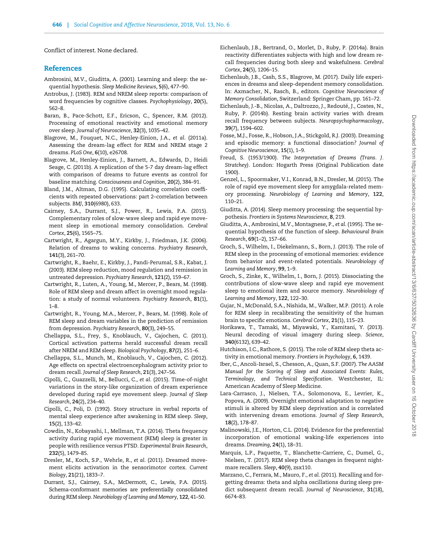<span id="page-9-0"></span>Conflict of interest. None declared.

# **References**

- Ambrosini, M.V., Giuditta, A. (2001). Learning and sleep: the sequential hypothesis. Sleep Medicine Reviews, 5(6), 477–90.
- Antrobus, J. (1983). REM and NREM sleep reports: comparison of word frequencies by cognitive classes. Psychophysiology, 20(5), 562–8.
- Baran, B., Pace-Schott, E.F., Ericson, C., Spencer, R.M. (2012). Processing of emotional reactivity and emotional memory over sleep. Journal of Neuroscience, 32(3), 1035–42.
- Blagrove, M., Fouquet, N.C., Henley-Einion, J.A., et al. (2011a). Assessing the dream-lag effect for REM and NREM stage 2 dreams. PLoS One, 6(10), e26708.
- Blagrove, M., Henley-Einion, J., Barnett, A., Edwards, D., Heidi Seage, C. (2011b). A replication of the 5-7 day dream-lag effect with comparison of dreams to future events as control for baseline matching. Consciousness and Cognition, 20(2), 384–91.
- Bland, J.M., Altman, D.G. (1995). Calculating correlation coefficients with repeated observations: part 2–correlation between subjects. BMJ, 310(6980), 633.
- Cairney, S.A., Durrant, S.J., Power, R., Lewis, P.A. (2015). Complementary roles of slow-wave sleep and rapid eye movement sleep in emotional memory consolidation. Cerebral Cortex, 25(6), 1565–75.
- Cartwright, R., Agargun, M.Y., Kirkby, J., Friedman, J.K. (2006). Relation of dreams to waking concerns. Psychiatry Research, 141(3), 261–70.
- Cartwright, R., Baehr, E., Kirkby, J., Pandi-Perumal, S.R., Kabat, J. (2003). REM sleep reduction, mood regulation and remission in untreated depression. Psychiatry Research, 121(2), 159–67.
- Cartwright, R., Luten, A., Young, M., Mercer, P., Bears, M. (1998). Role of REM sleep and dream affect in overnight mood regulation: a study of normal volunteers. Psychiatry Research, 81(1), 1–8.
- Cartwright, R., Young, M.A., Mercer, P., Bears, M. (1998). Role of REM sleep and dream variables in the prediction of remission from depression. Psychiatry Research, 80(3), 249–55.
- Chellappa, S.L., Frey, S., Knoblauch, V., Cajochen, C. (2011). Cortical activation patterns herald successful dream recall after NREM and REM sleep. Biological Psychology, 87(2), 251–6.
- Chellappa, S.L., Munch, M., Knoblauch, V., Cajochen, C. (2012). Age effects on spectral electroencephalogram activity prior to dream recall. Journal of Sleep Research, 21(3), 247–56.
- Cipolli, C., Guazzelli, M., Bellucci, C., et al. (2015). Time-of-night variations in the story-like organization of dream experience developed during rapid eye movement sleep. Journal of Sleep Research, 24(2), 234–40.
- Cipolli, C., Poli, D. (1992). Story structure in verbal reports of mental sleep experience after awakening in REM sleep. Sleep, 15(2), 133–42.
- Cowdin, N., Kobayashi, I., Mellman, T.A. (2014). Theta frequency activity during rapid eye movement (REM) sleep is greater in people with resilience versus PTSD. Experimental Brain Research, 232(5), 1479–85.
- Dresler, M., Koch, S.P., Wehrle, R., et al. (2011). Dreamed movement elicits activation in the sensorimotor cortex. Current Biology, 21(21), 1833–7.
- Durrant, S.J., Cairney, S.A., McDermott, C., Lewis, P.A. (2015). Schema-conformant memories are preferentially consolidated during REM sleep. Neurobiology of Learning and Memory, 122, 41–50.
- Eichenlaub, J.B., Bertrand, O., Morlet, D., Ruby, P. (2014a). Brain reactivity differentiates subjects with high and low dream recall frequencies during both sleep and wakefulness. Cerebral Cortex, 24(5), 1206–15.
- Eichenlaub, J.B., Cash, S.S., Blagrove, M. (2017). Daily life experiences in dreams and sleep-dependent memory consolidation. In: Axmacher, N., Rasch, B., editors. Cognitive Neuroscience of Memory Consolidation, Switzerland: Springer Cham, pp. 161–72.
- Eichenlaub, J.-B., Nicolas, A., Daltrozzo, J., Redouté, J., Costes, N., Ruby, P. (2014b). Resting brain activity varies with dream recall frequency between subjects. Neuropsychopharmacology, 39(7), 1594–602.
- Fosse, M.J., Fosse, R., Hobson, J.A., Stickgold, R.J. (2003). Dreaming and episodic memory: a functional dissociation? Journal of Cognitive Neuroscience, 15(1), 1–9.
- Freud, S. (1953/1900). The Interpretation of Dreams (Trans. J. Stratchey). London: Hogarth Press (Original Publication date 1900).
- Genzel, L., Spoormaker, V.I., Konrad, B.N., Dresler, M. (2015). The role of rapid eye movement sleep for amygdala-related memory processing. Neurobiology of Learning and Memory, 122, 110–21.
- Giuditta, A. (2014). Sleep memory processing: the sequential hypothesis. Frontiers in Systems Neuroscience, 8, 219.
- Giuditta, A., Ambrosini, M.V., Montagnese, P., et al. (1995). The sequential hypothesis of the function of sleep. Behavioural Brain Research, 69(1–2), 157–66.
- Groch, S., Wilhelm, I., Diekelmann, S., Born, J. (2013). The role of REM sleep in the processing of emotional memories: evidence from behavior and event-related potentials. Neurobiology of Learning and Memory, 99, 1–9.
- Groch, S., Zinke, K., Wilhelm, I., Born, J. (2015). Dissociating the contributions of slow-wave sleep and rapid eye movement sleep to emotional item and source memory. Neurobiology of Learning and Memory, 122, 122–30.
- Gujar, N., McDonald, S.A., Nishida, M., Walker, M.P. (2011). A role for REM sleep in recalibrating the sensitivity of the human brain to specific emotions. Cerebral Cortex, 21(1), 115–23.
- Horikawa, T., Tamaki, M., Miyawaki, Y., Kamitani, Y. (2013). Neural decoding of visual imagery during sleep. Science, 340(6132), 639–42.
- Hutchison, I.C., Rathore, S. (2015). The role of REM sleep theta activity in emotional memory. Frontiers in Psychology, 6, 1439.
- Iber, C., Ancoli-Israel, S., Chesson, A., Quan, S.F. (2007). The AASM Manual for the Scoring of Sleep and Associated Events: Rules, Terminology, and Technical Specification. Westchester, IL: American Academy of Sleep Medicine.
- Lara-Carrasco, J., Nielsen, T.A., Solomonova, E., Levrier, K., Popova, A. (2009). Overnight emotional adaptation to negative stimuli is altered by REM sleep deprivation and is correlated with intervening dream emotions. Journal of Sleep Research, 18(2), 178–87.
- Malinowski, J.E., Horton, C.L. (2014). Evidence for the preferential incorporation of emotional waking-life experiences into dreams. Dreaming, 24(1), 18–31.
- Marquis, L.P., Paquette, T., Blanchette-Carriere, C., Dumel, G., Nielsen, T. (2017). REM sleep theta changes in frequent nightmare recallers. Sleep, 40(9), zsx110.
- Marzano, C., Ferrara, M., Mauro, F., et al. (2011). Recalling and forgetting dreams: theta and alpha oscillations during sleep predict subsequent dream recall. Journal of Neuroscience, 31(18), 6674–83.